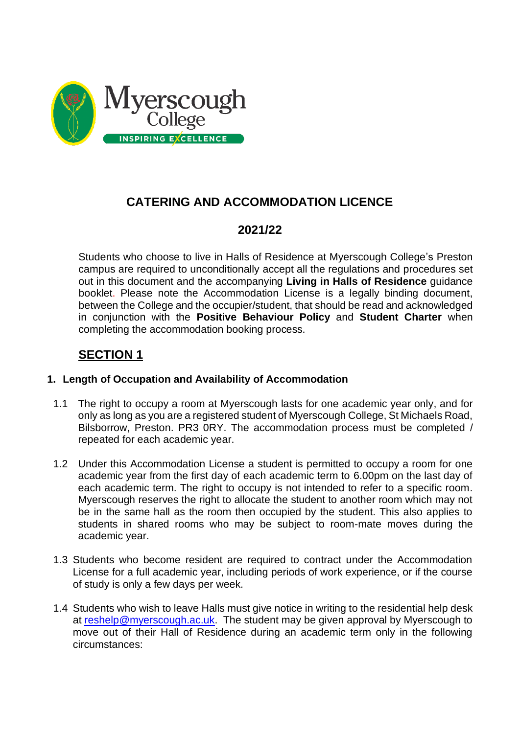

# **CATERING AND ACCOMMODATION LICENCE**

# **2021/22**

Students who choose to live in Halls of Residence at Myerscough College's Preston campus are required to unconditionally accept all the regulations and procedures set out in this document and the accompanying **Living in Halls of Residence** guidance booklet. Please note the Accommodation License is a legally binding document, between the College and the occupier/student, that should be read and acknowledged in conjunction with the **Positive Behaviour Policy** and **Student Charter** when completing the accommodation booking process.

# **SECTION 1**

# **1. Length of Occupation and Availability of Accommodation**

- 1.1 The right to occupy a room at Myerscough lasts for one academic year only, and for only as long as you are a registered student of Myerscough College, St Michaels Road, Bilsborrow, Preston. PR3 0RY. The accommodation process must be completed / repeated for each academic year.
- 1.2 Under this Accommodation License a student is permitted to occupy a room for one academic year from the first day of each academic term to 6.00pm on the last day of each academic term. The right to occupy is not intended to refer to a specific room. Myerscough reserves the right to allocate the student to another room which may not be in the same hall as the room then occupied by the student. This also applies to students in shared rooms who may be subject to room-mate moves during the academic year.
- 1.3 Students who become resident are required to contract under the Accommodation License for a full academic year, including periods of work experience, or if the course of study is only a few days per week.
- 1.4 Students who wish to leave Halls must give notice in writing to the residential help desk at [reshelp@myerscough.ac.uk.](mailto:reshelp@myerscough.ac.uk) The student may be given approval by Myerscough to move out of their Hall of Residence during an academic term only in the following circumstances: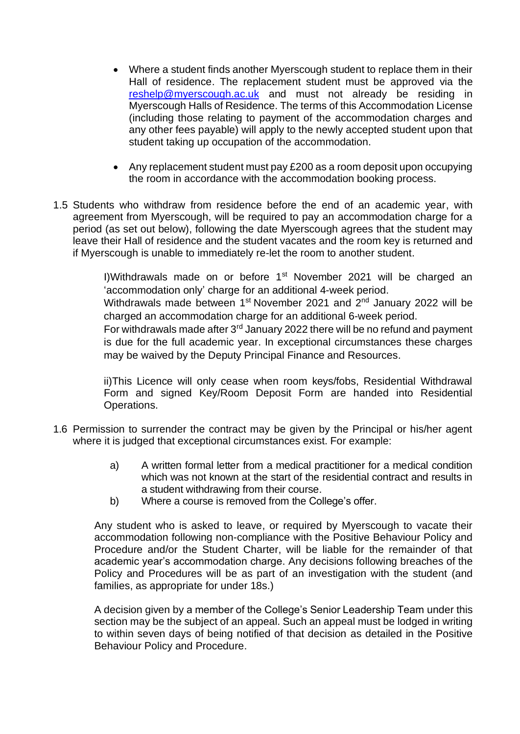- Where a student finds another Myerscough student to replace them in their Hall of residence. The replacement student must be approved via the [reshelp@myerscough.ac.uk](mailto:reshelp@myerscough.ac.uk) and must not already be residing in Myerscough Halls of Residence. The terms of this Accommodation License (including those relating to payment of the accommodation charges and any other fees payable) will apply to the newly accepted student upon that student taking up occupation of the accommodation.
- Any replacement student must pay £200 as a room deposit upon occupying the room in accordance with the accommodation booking process.
- 1.5 Students who withdraw from residence before the end of an academic year, with agreement from Myerscough, will be required to pay an accommodation charge for a period (as set out below), following the date Myerscough agrees that the student may leave their Hall of residence and the student vacates and the room key is returned and if Myerscough is unable to immediately re-let the room to another student.

I)Withdrawals made on or before  $1<sup>st</sup>$  November 2021 will be charged an 'accommodation only' charge for an additional 4-week period.

Withdrawals made between 1<sup>st</sup> November 2021 and 2<sup>nd</sup> January 2022 will be charged an accommodation charge for an additional 6-week period.

For withdrawals made after  $3<sup>rd</sup>$  January 2022 there will be no refund and payment is due for the full academic year. In exceptional circumstances these charges may be waived by the Deputy Principal Finance and Resources.

ii)This Licence will only cease when room keys/fobs, Residential Withdrawal Form and signed Key/Room Deposit Form are handed into Residential Operations.

- 1.6 Permission to surrender the contract may be given by the Principal or his/her agent where it is judged that exceptional circumstances exist. For example:
	- a) A written formal letter from a medical practitioner for a medical condition which was not known at the start of the residential contract and results in a student withdrawing from their course.
	- b) Where a course is removed from the College's offer.

Any student who is asked to leave, or required by Myerscough to vacate their accommodation following non-compliance with the Positive Behaviour Policy and Procedure and/or the Student Charter, will be liable for the remainder of that academic year's accommodation charge. Any decisions following breaches of the Policy and Procedures will be as part of an investigation with the student (and families, as appropriate for under 18s.)

A decision given by a member of the College's Senior Leadership Team under this section may be the subject of an appeal. Such an appeal must be lodged in writing to within seven days of being notified of that decision as detailed in the Positive Behaviour Policy and Procedure.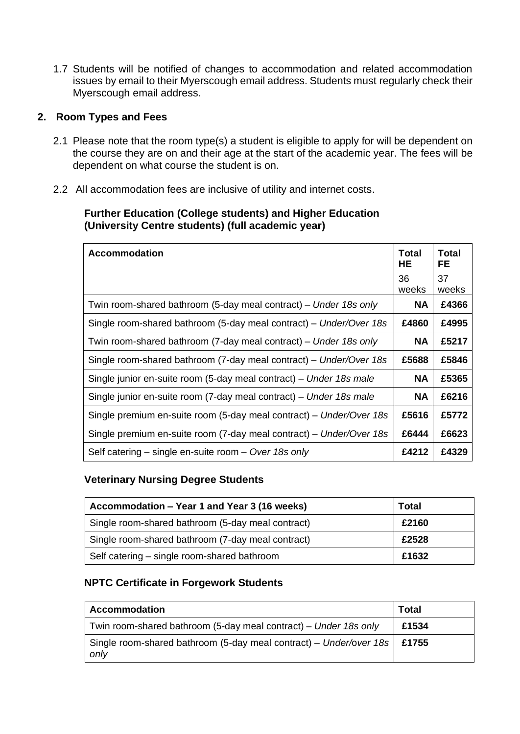1.7 Students will be notified of changes to accommodation and related accommodation issues by email to their Myerscough email address. Students must regularly check their Myerscough email address.

# **2. Room Types and Fees**

- 2.1 Please note that the room type(s) a student is eligible to apply for will be dependent on the course they are on and their age at the start of the academic year. The fees will be dependent on what course the student is on.
- 2.2 All accommodation fees are inclusive of utility and internet costs.

# **Further Education (College students) and Higher Education (University Centre students) (full academic year)**

| <b>Accommodation</b>                                                | <b>Total</b><br>HE | Total<br>FE |
|---------------------------------------------------------------------|--------------------|-------------|
|                                                                     | 36<br>weeks        | 37<br>weeks |
| Twin room-shared bathroom (5-day meal contract) – Under 18s only    | <b>NA</b>          | £4366       |
| Single room-shared bathroom (5-day meal contract) – Under/Over 18s  | £4860              | £4995       |
| Twin room-shared bathroom (7-day meal contract) – Under 18s only    | <b>NA</b>          | £5217       |
| Single room-shared bathroom (7-day meal contract) - Under/Over 18s  | £5688              | £5846       |
| Single junior en-suite room (5-day meal contract) – Under 18s male  | <b>NA</b>          | £5365       |
| Single junior en-suite room (7-day meal contract) – Under 18s male  | <b>NA</b>          | £6216       |
| Single premium en-suite room (5-day meal contract) – Under/Over 18s | £5616              | £5772       |
| Single premium en-suite room (7-day meal contract) – Under/Over 18s | £6444              | £6623       |
| Self catering – single en-suite room – Over 18s only                | £4212              | £4329       |

# **Veterinary Nursing Degree Students**

| Accommodation – Year 1 and Year 3 (16 weeks)      | <b>Total</b> |
|---------------------------------------------------|--------------|
| Single room-shared bathroom (5-day meal contract) | £2160        |
| Single room-shared bathroom (7-day meal contract) | £2528        |
| Self catering - single room-shared bathroom       | £1632        |

# **NPTC Certificate in Forgework Students**

| <b>Accommodation</b>                                                               | <b>Total</b> |
|------------------------------------------------------------------------------------|--------------|
| Twin room-shared bathroom (5-day meal contract) – Under 18s only                   | £1534        |
| Single room-shared bathroom (5-day meal contract) – Under/over 18s   £1755<br>only |              |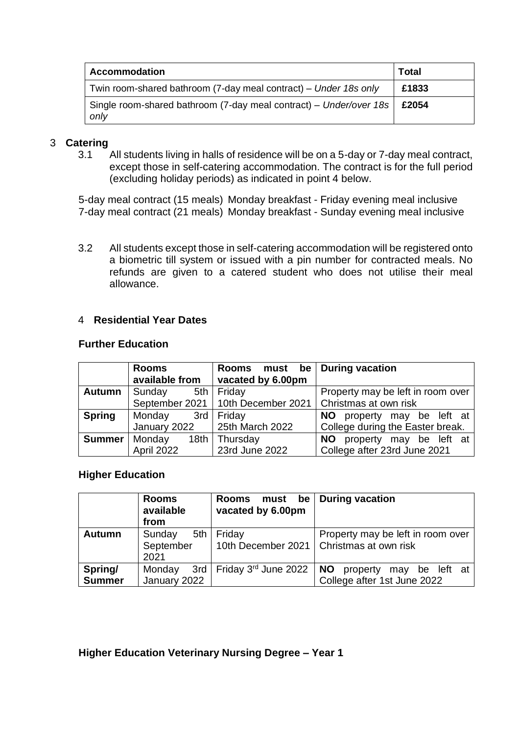| <b>Accommodation</b>                                                       | <b>Total</b> |
|----------------------------------------------------------------------------|--------------|
| Twin room-shared bathroom (7-day meal contract) – Under 18s only           | £1833        |
| Single room-shared bathroom (7-day meal contract) – Under/over 18s<br>only | £2054        |

#### 3 **Catering**

3.1 All students living in halls of residence will be on a 5-day or 7-day meal contract, except those in self-catering accommodation. The contract is for the full period (excluding holiday periods) as indicated in point 4 below.

5-day meal contract (15 meals) Monday breakfast - Friday evening meal inclusive 7-day meal contract (21 meals) Monday breakfast - Sunday evening meal inclusive

3.2 All students except those in self-catering accommodation will be registered onto a biometric till system or issued with a pin number for contracted meals. No refunds are given to a catered student who does not utilise their meal allowance.

#### 4 **Residential Year Dates**

#### **Further Education**

|               | <b>Rooms</b><br>available from | Rooms must be During vacation<br>vacated by 6.00pm |                                   |  |  |
|---------------|--------------------------------|----------------------------------------------------|-----------------------------------|--|--|
| <b>Autumn</b> | Sunday                         | 5th   Friday                                       | Property may be left in room over |  |  |
|               |                                | September 2021   10th December 2021                | Christmas at own risk             |  |  |
| <b>Spring</b> | Monday                         | 3rd Friday                                         | property may be left at<br>NO L   |  |  |
|               |                                | January 2022 $\vert$ 25th March 2022               | College during the Easter break.  |  |  |
| <b>Summer</b> | Monday                         | 18th Thursday                                      | NO.<br>property may be left at    |  |  |
|               | April 2022                     | 23rd June 2022                                     | College after 23rd June 2021      |  |  |

#### **Higher Education**

|                          | <b>Rooms</b><br>available<br>from  | must be<br><b>Rooms</b><br>vacated by 6.00pm | <b>During vacation</b>                                                          |
|--------------------------|------------------------------------|----------------------------------------------|---------------------------------------------------------------------------------|
| <b>Autumn</b>            | 5th<br>Sunday<br>September<br>2021 | Friday                                       | Property may be left in room over<br>10th December 2021   Christmas at own risk |
| Spring/<br><b>Summer</b> | Monday<br>January 2022             | 3rd   Friday 3 <sup>rd</sup> June 2022       | <b>NO</b><br>property<br>be left at<br>may<br>College after 1st June 2022       |

## **Higher Education Veterinary Nursing Degree – Year 1**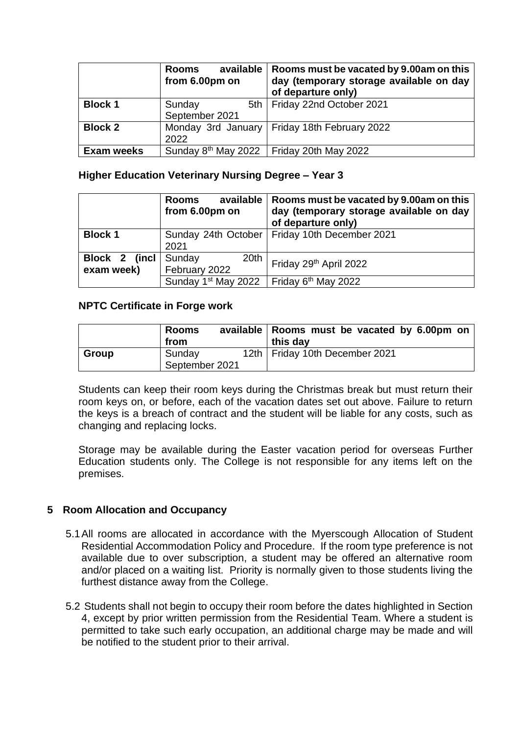|                   | available<br><b>Rooms</b><br>from 6.00pm on | Rooms must be vacated by 9.00am on this<br>day (temporary storage available on day<br>of departure only) |
|-------------------|---------------------------------------------|----------------------------------------------------------------------------------------------------------|
| <b>Block 1</b>    | Sunday<br>September 2021                    | 5th   Friday 22nd October 2021                                                                           |
| <b>Block 2</b>    | 2022                                        | Monday 3rd January   Friday 18th February 2022                                                           |
| <b>Exam weeks</b> |                                             | Sunday $8th$ May 2022 Friday 20th May 2022                                                               |

#### **Higher Education Veterinary Nursing Degree – Year 3**

|                             | available<br><b>Rooms</b><br>from 6.00pm on | Rooms must be vacated by 9.00am on this<br>day (temporary storage available on day<br>of departure only) |
|-----------------------------|---------------------------------------------|----------------------------------------------------------------------------------------------------------|
| <b>Block 1</b>              | Sunday 24th October<br>2021                 | Friday 10th December 2021                                                                                |
| Block 2 (incl<br>exam week) | Sunday<br>20th<br>February 2022             | Friday 29th April 2022                                                                                   |
|                             | Sunday 1 <sup>st</sup> May 2022             | Friday 6 <sup>th</sup> May 2022                                                                          |

#### **NPTC Certificate in Forge work**

|              | <b>Rooms</b><br>from     | available   Rooms must be vacated by 6.00pm on<br>this day |  |
|--------------|--------------------------|------------------------------------------------------------|--|
| <b>Group</b> | Sunday<br>September 2021 | 12th   Friday 10th December 2021                           |  |

Students can keep their room keys during the Christmas break but must return their room keys on, or before, each of the vacation dates set out above. Failure to return the keys is a breach of contract and the student will be liable for any costs, such as changing and replacing locks.

Storage may be available during the Easter vacation period for overseas Further Education students only. The College is not responsible for any items left on the premises.

## **5 Room Allocation and Occupancy**

- 5.1All rooms are allocated in accordance with the Myerscough Allocation of Student Residential Accommodation Policy and Procedure. If the room type preference is not available due to over subscription, a student may be offered an alternative room and/or placed on a waiting list. Priority is normally given to those students living the furthest distance away from the College.
- 5.2 Students shall not begin to occupy their room before the dates highlighted in Section 4, except by prior written permission from the Residential Team. Where a student is permitted to take such early occupation, an additional charge may be made and will be notified to the student prior to their arrival.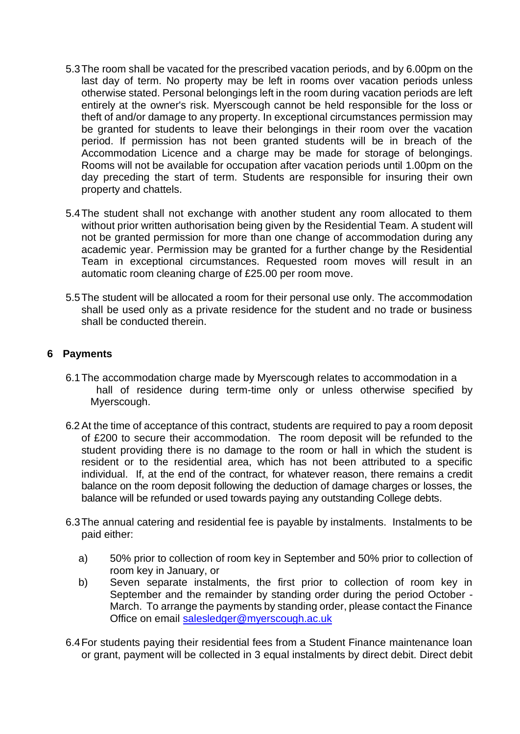- 5.3The room shall be vacated for the prescribed vacation periods, and by 6.00pm on the last day of term. No property may be left in rooms over vacation periods unless otherwise stated. Personal belongings left in the room during vacation periods are left entirely at the owner's risk. Myerscough cannot be held responsible for the loss or theft of and/or damage to any property. In exceptional circumstances permission may be granted for students to leave their belongings in their room over the vacation period. If permission has not been granted students will be in breach of the Accommodation Licence and a charge may be made for storage of belongings. Rooms will not be available for occupation after vacation periods until 1.00pm on the day preceding the start of term. Students are responsible for insuring their own property and chattels.
- 5.4The student shall not exchange with another student any room allocated to them without prior written authorisation being given by the Residential Team. A student will not be granted permission for more than one change of accommodation during any academic year. Permission may be granted for a further change by the Residential Team in exceptional circumstances. Requested room moves will result in an automatic room cleaning charge of £25.00 per room move.
- 5.5The student will be allocated a room for their personal use only. The accommodation shall be used only as a private residence for the student and no trade or business shall be conducted therein.

# **6 Payments**

- 6.1The accommodation charge made by Myerscough relates to accommodation in a hall of residence during term-time only or unless otherwise specified by Myerscough.
- 6.2At the time of acceptance of this contract, students are required to pay a room deposit of £200 to secure their accommodation. The room deposit will be refunded to the student providing there is no damage to the room or hall in which the student is resident or to the residential area, which has not been attributed to a specific individual. If, at the end of the contract, for whatever reason, there remains a credit balance on the room deposit following the deduction of damage charges or losses, the balance will be refunded or used towards paying any outstanding College debts.
- 6.3The annual catering and residential fee is payable by instalments. Instalments to be paid either:
	- a) 50% prior to collection of room key in September and 50% prior to collection of room key in January, or
	- b) Seven separate instalments, the first prior to collection of room key in September and the remainder by standing order during the period October - March. To arrange the payments by standing order, please contact the Finance Office on email [salesledger@myerscough.ac.uk](mailto:salesledger@myerscough.ac.uk)
- 6.4For students paying their residential fees from a Student Finance maintenance loan or grant, payment will be collected in 3 equal instalments by direct debit. Direct debit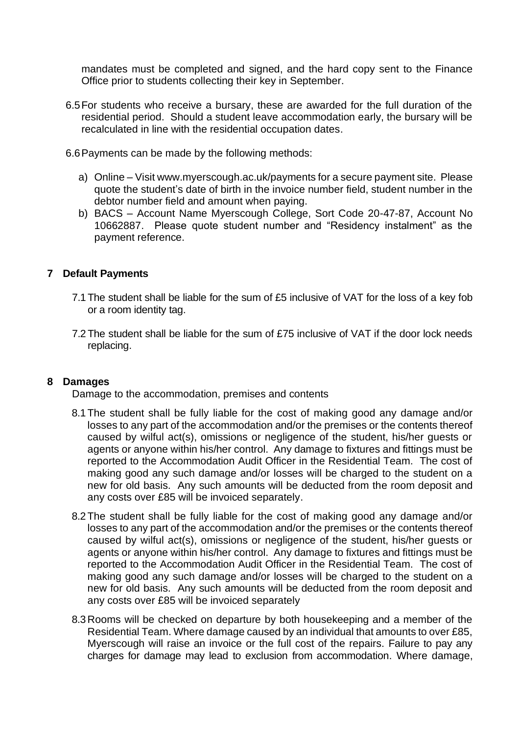mandates must be completed and signed, and the hard copy sent to the Finance Office prior to students collecting their key in September.

- 6.5For students who receive a bursary, these are awarded for the full duration of the residential period. Should a student leave accommodation early, the bursary will be recalculated in line with the residential occupation dates.
- 6.6Payments can be made by the following methods:
	- a) Online Visit www.myerscough.ac.uk/payments for a secure payment site. Please quote the student's date of birth in the invoice number field, student number in the debtor number field and amount when paying.
	- b) BACS Account Name Myerscough College, Sort Code 20-47-87, Account No 10662887. Please quote student number and "Residency instalment" as the payment reference.

# **7 Default Payments**

- 7.1 The student shall be liable for the sum of £5 inclusive of VAT for the loss of a key fob or a room identity tag.
- 7.2 The student shall be liable for the sum of £75 inclusive of VAT if the door lock needs replacing.

## **8 Damages**

Damage to the accommodation, premises and contents

- 8.1 The student shall be fully liable for the cost of making good any damage and/or losses to any part of the accommodation and/or the premises or the contents thereof caused by wilful act(s), omissions or negligence of the student, his/her guests or agents or anyone within his/her control. Any damage to fixtures and fittings must be reported to the Accommodation Audit Officer in the Residential Team. The cost of making good any such damage and/or losses will be charged to the student on a new for old basis. Any such amounts will be deducted from the room deposit and any costs over £85 will be invoiced separately.
- 8.2 The student shall be fully liable for the cost of making good any damage and/or losses to any part of the accommodation and/or the premises or the contents thereof caused by wilful act(s), omissions or negligence of the student, his/her guests or agents or anyone within his/her control. Any damage to fixtures and fittings must be reported to the Accommodation Audit Officer in the Residential Team. The cost of making good any such damage and/or losses will be charged to the student on a new for old basis. Any such amounts will be deducted from the room deposit and any costs over £85 will be invoiced separately
- 8.3 Rooms will be checked on departure by both housekeeping and a member of the Residential Team. Where damage caused by an individual that amounts to over £85, Myerscough will raise an invoice or the full cost of the repairs. Failure to pay any charges for damage may lead to exclusion from accommodation. Where damage,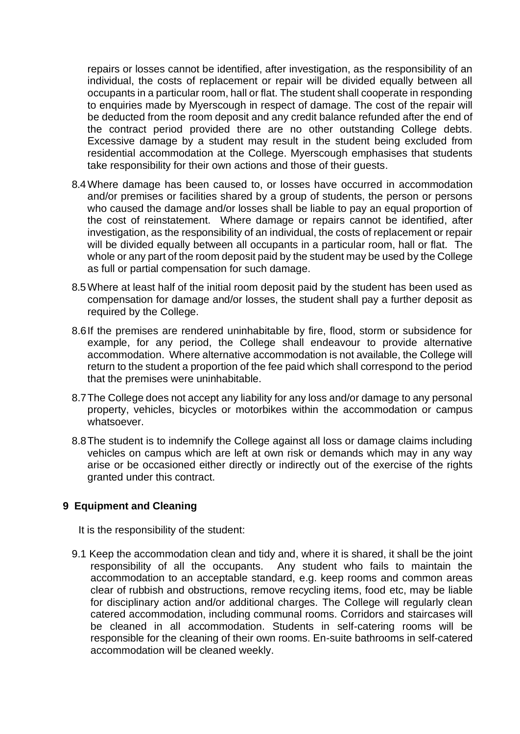repairs or losses cannot be identified, after investigation, as the responsibility of an individual, the costs of replacement or repair will be divided equally between all occupants in a particular room, hall or flat. The student shall cooperate in responding to enquiries made by Myerscough in respect of damage. The cost of the repair will be deducted from the room deposit and any credit balance refunded after the end of the contract period provided there are no other outstanding College debts. Excessive damage by a student may result in the student being excluded from residential accommodation at the College. Myerscough emphasises that students take responsibility for their own actions and those of their guests.

- 8.4Where damage has been caused to, or losses have occurred in accommodation and/or premises or facilities shared by a group of students, the person or persons who caused the damage and/or losses shall be liable to pay an equal proportion of the cost of reinstatement. Where damage or repairs cannot be identified, after investigation, as the responsibility of an individual, the costs of replacement or repair will be divided equally between all occupants in a particular room, hall or flat. The whole or any part of the room deposit paid by the student may be used by the College as full or partial compensation for such damage.
- 8.5Where at least half of the initial room deposit paid by the student has been used as compensation for damage and/or losses, the student shall pay a further deposit as required by the College.
- 8.6If the premises are rendered uninhabitable by fire, flood, storm or subsidence for example, for any period, the College shall endeavour to provide alternative accommodation. Where alternative accommodation is not available, the College will return to the student a proportion of the fee paid which shall correspond to the period that the premises were uninhabitable.
- 8.7The College does not accept any liability for any loss and/or damage to any personal property, vehicles, bicycles or motorbikes within the accommodation or campus whatsoever.
- 8.8The student is to indemnify the College against all loss or damage claims including vehicles on campus which are left at own risk or demands which may in any way arise or be occasioned either directly or indirectly out of the exercise of the rights granted under this contract.

## **9 Equipment and Cleaning**

It is the responsibility of the student:

9.1 Keep the accommodation clean and tidy and, where it is shared, it shall be the joint responsibility of all the occupants. Any student who fails to maintain the accommodation to an acceptable standard, e.g. keep rooms and common areas clear of rubbish and obstructions, remove recycling items, food etc, may be liable for disciplinary action and/or additional charges. The College will regularly clean catered accommodation, including communal rooms. Corridors and staircases will be cleaned in all accommodation. Students in self-catering rooms will be responsible for the cleaning of their own rooms. En-suite bathrooms in self-catered accommodation will be cleaned weekly.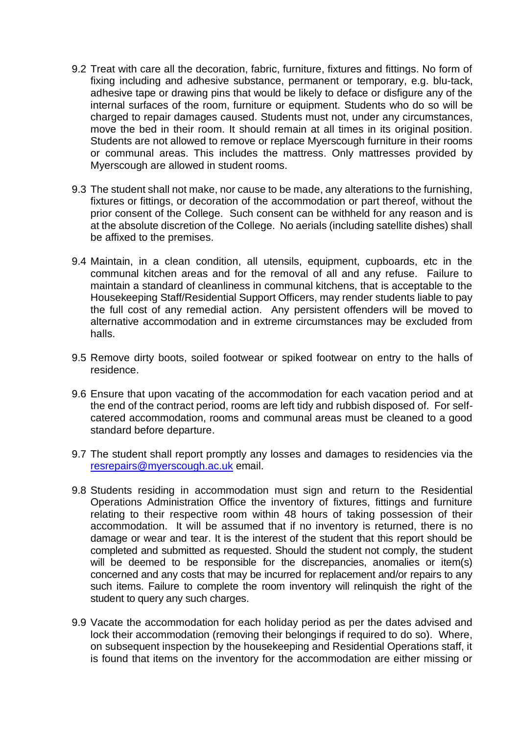- 9.2 Treat with care all the decoration, fabric, furniture, fixtures and fittings. No form of fixing including and adhesive substance, permanent or temporary, e.g. blu-tack, adhesive tape or drawing pins that would be likely to deface or disfigure any of the internal surfaces of the room, furniture or equipment. Students who do so will be charged to repair damages caused. Students must not, under any circumstances, move the bed in their room. It should remain at all times in its original position. Students are not allowed to remove or replace Myerscough furniture in their rooms or communal areas. This includes the mattress. Only mattresses provided by Myerscough are allowed in student rooms.
- 9.3 The student shall not make, nor cause to be made, any alterations to the furnishing, fixtures or fittings, or decoration of the accommodation or part thereof, without the prior consent of the College. Such consent can be withheld for any reason and is at the absolute discretion of the College. No aerials (including satellite dishes) shall be affixed to the premises.
- 9.4 Maintain, in a clean condition, all utensils, equipment, cupboards, etc in the communal kitchen areas and for the removal of all and any refuse. Failure to maintain a standard of cleanliness in communal kitchens, that is acceptable to the Housekeeping Staff/Residential Support Officers, may render students liable to pay the full cost of any remedial action. Any persistent offenders will be moved to alternative accommodation and in extreme circumstances may be excluded from halls.
- 9.5 Remove dirty boots, soiled footwear or spiked footwear on entry to the halls of residence.
- 9.6 Ensure that upon vacating of the accommodation for each vacation period and at the end of the contract period, rooms are left tidy and rubbish disposed of. For selfcatered accommodation, rooms and communal areas must be cleaned to a good standard before departure.
- 9.7 The student shall report promptly any losses and damages to residencies via the [resrepairs@myerscough.ac.uk](mailto:resrepairs@myerscough.ac.uk) email.
- 9.8 Students residing in accommodation must sign and return to the Residential Operations Administration Office the inventory of fixtures, fittings and furniture relating to their respective room within 48 hours of taking possession of their accommodation. It will be assumed that if no inventory is returned, there is no damage or wear and tear. It is the interest of the student that this report should be completed and submitted as requested. Should the student not comply, the student will be deemed to be responsible for the discrepancies, anomalies or item(s) concerned and any costs that may be incurred for replacement and/or repairs to any such items. Failure to complete the room inventory will relinquish the right of the student to query any such charges.
- 9.9 Vacate the accommodation for each holiday period as per the dates advised and lock their accommodation (removing their belongings if required to do so). Where, on subsequent inspection by the housekeeping and Residential Operations staff, it is found that items on the inventory for the accommodation are either missing or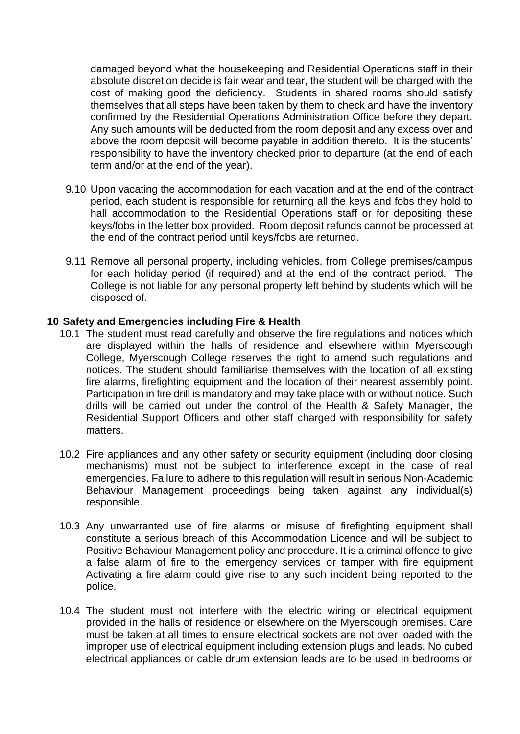damaged beyond what the housekeeping and Residential Operations staff in their absolute discretion decide is fair wear and tear, the student will be charged with the cost of making good the deficiency. Students in shared rooms should satisfy themselves that all steps have been taken by them to check and have the inventory confirmed by the Residential Operations Administration Office before they depart. Any such amounts will be deducted from the room deposit and any excess over and above the room deposit will become payable in addition thereto. It is the students' responsibility to have the inventory checked prior to departure (at the end of each term and/or at the end of the year).

- 9.10 Upon vacating the accommodation for each vacation and at the end of the contract period, each student is responsible for returning all the keys and fobs they hold to hall accommodation to the Residential Operations staff or for depositing these keys/fobs in the letter box provided. Room deposit refunds cannot be processed at the end of the contract period until keys/fobs are returned.
- 9.11 Remove all personal property, including vehicles, from College premises/campus for each holiday period (if required) and at the end of the contract period. The College is not liable for any personal property left behind by students which will be disposed of.

#### **10 Safety and Emergencies including Fire & Health**

- 10.1 The student must read carefully and observe the fire regulations and notices which are displayed within the halls of residence and elsewhere within Myerscough College, Myerscough College reserves the right to amend such regulations and notices. The student should familiarise themselves with the location of all existing fire alarms, firefighting equipment and the location of their nearest assembly point. Participation in fire drill is mandatory and may take place with or without notice. Such drills will be carried out under the control of the Health & Safety Manager, the Residential Support Officers and other staff charged with responsibility for safety matters.
- 10.2 Fire appliances and any other safety or security equipment (including door closing mechanisms) must not be subject to interference except in the case of real emergencies. Failure to adhere to this regulation will result in serious Non-Academic Behaviour Management proceedings being taken against any individual(s) responsible.
- 10.3 Any unwarranted use of fire alarms or misuse of firefighting equipment shall constitute a serious breach of this Accommodation Licence and will be subject to Positive Behaviour Management policy and procedure. It is a criminal offence to give a false alarm of fire to the emergency services or tamper with fire equipment Activating a fire alarm could give rise to any such incident being reported to the police.
- 10.4 The student must not interfere with the electric wiring or electrical equipment provided in the halls of residence or elsewhere on the Myerscough premises. Care must be taken at all times to ensure electrical sockets are not over loaded with the improper use of electrical equipment including extension plugs and leads. No cubed electrical appliances or cable drum extension leads are to be used in bedrooms or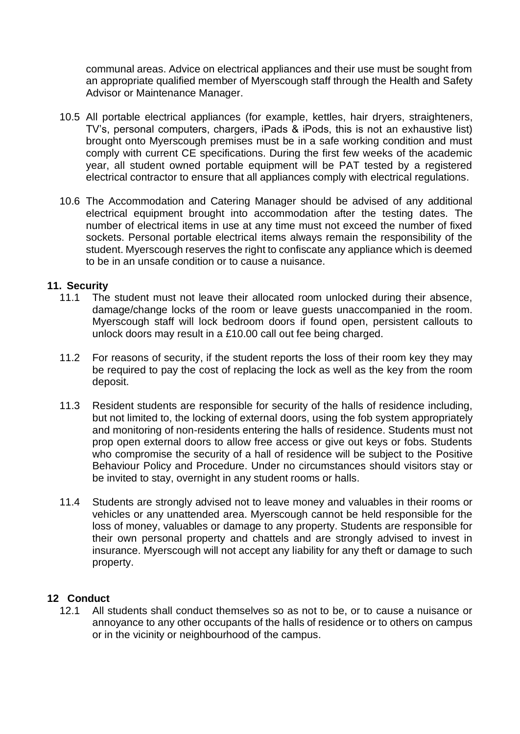communal areas. Advice on electrical appliances and their use must be sought from an appropriate qualified member of Myerscough staff through the Health and Safety Advisor or Maintenance Manager.

- 10.5 All portable electrical appliances (for example, kettles, hair dryers, straighteners, TV's, personal computers, chargers, iPads & iPods, this is not an exhaustive list) brought onto Myerscough premises must be in a safe working condition and must comply with current CE specifications. During the first few weeks of the academic year, all student owned portable equipment will be PAT tested by a registered electrical contractor to ensure that all appliances comply with electrical regulations.
- 10.6 The Accommodation and Catering Manager should be advised of any additional electrical equipment brought into accommodation after the testing dates. The number of electrical items in use at any time must not exceed the number of fixed sockets. Personal portable electrical items always remain the responsibility of the student. Myerscough reserves the right to confiscate any appliance which is deemed to be in an unsafe condition or to cause a nuisance.

#### **11. Security**

- 11.1 The student must not leave their allocated room unlocked during their absence, damage/change locks of the room or leave guests unaccompanied in the room. Myerscough staff will lock bedroom doors if found open, persistent callouts to unlock doors may result in a £10.00 call out fee being charged.
- 11.2 For reasons of security, if the student reports the loss of their room key they may be required to pay the cost of replacing the lock as well as the key from the room deposit.
- 11.3 Resident students are responsible for security of the halls of residence including, but not limited to, the locking of external doors, using the fob system appropriately and monitoring of non-residents entering the halls of residence. Students must not prop open external doors to allow free access or give out keys or fobs. Students who compromise the security of a hall of residence will be subject to the Positive Behaviour Policy and Procedure. Under no circumstances should visitors stay or be invited to stay, overnight in any student rooms or halls.
- 11.4 Students are strongly advised not to leave money and valuables in their rooms or vehicles or any unattended area. Myerscough cannot be held responsible for the loss of money, valuables or damage to any property. Students are responsible for their own personal property and chattels and are strongly advised to invest in insurance. Myerscough will not accept any liability for any theft or damage to such property.

## **12 Conduct**

12.1 All students shall conduct themselves so as not to be, or to cause a nuisance or annoyance to any other occupants of the halls of residence or to others on campus or in the vicinity or neighbourhood of the campus.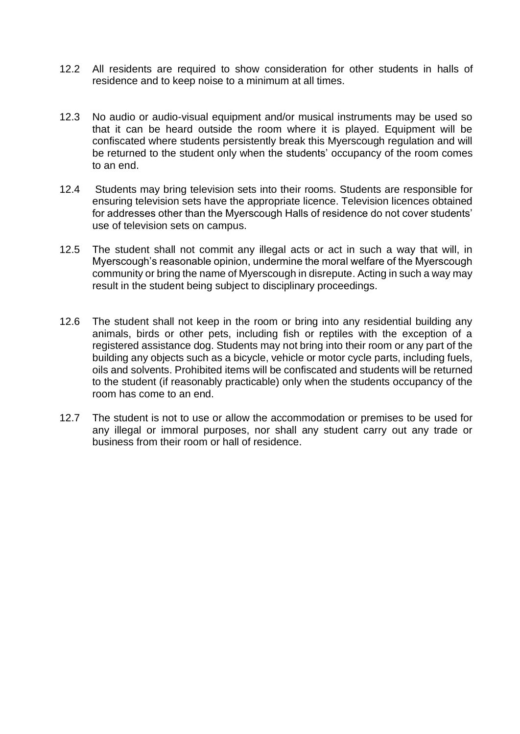- 12.2 All residents are required to show consideration for other students in halls of residence and to keep noise to a minimum at all times.
- 12.3 No audio or audio-visual equipment and/or musical instruments may be used so that it can be heard outside the room where it is played. Equipment will be confiscated where students persistently break this Myerscough regulation and will be returned to the student only when the students' occupancy of the room comes to an end.
- 12.4 Students may bring television sets into their rooms. Students are responsible for ensuring television sets have the appropriate licence. Television licences obtained for addresses other than the Myerscough Halls of residence do not cover students' use of television sets on campus.
- 12.5 The student shall not commit any illegal acts or act in such a way that will, in Myerscough's reasonable opinion, undermine the moral welfare of the Myerscough community or bring the name of Myerscough in disrepute. Acting in such a way may result in the student being subject to disciplinary proceedings.
- 12.6 The student shall not keep in the room or bring into any residential building any animals, birds or other pets, including fish or reptiles with the exception of a registered assistance dog. Students may not bring into their room or any part of the building any objects such as a bicycle, vehicle or motor cycle parts, including fuels, oils and solvents. Prohibited items will be confiscated and students will be returned to the student (if reasonably practicable) only when the students occupancy of the room has come to an end.
- 12.7 The student is not to use or allow the accommodation or premises to be used for any illegal or immoral purposes, nor shall any student carry out any trade or business from their room or hall of residence.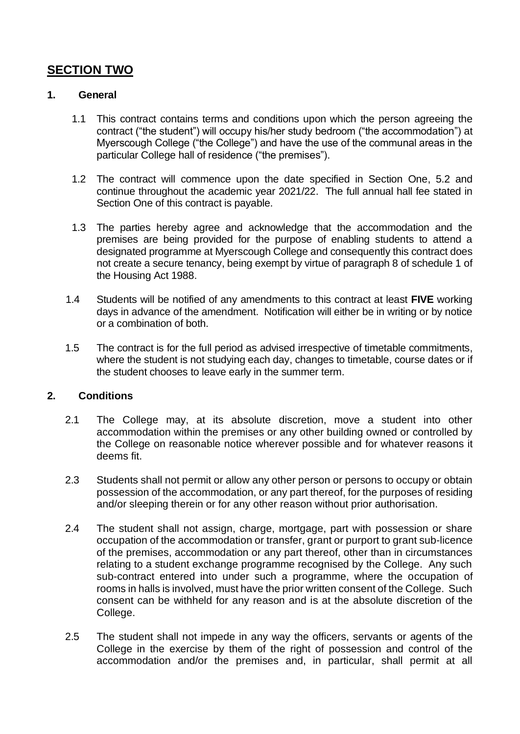# **SECTION TWO**

## **1. General**

- 1.1 This contract contains terms and conditions upon which the person agreeing the contract ("the student") will occupy his/her study bedroom ("the accommodation") at Myerscough College ("the College") and have the use of the communal areas in the particular College hall of residence ("the premises").
- 1.2 The contract will commence upon the date specified in Section One, 5.2 and continue throughout the academic year 2021/22. The full annual hall fee stated in Section One of this contract is payable.
- 1.3 The parties hereby agree and acknowledge that the accommodation and the premises are being provided for the purpose of enabling students to attend a designated programme at Myerscough College and consequently this contract does not create a secure tenancy, being exempt by virtue of paragraph 8 of schedule 1 of the Housing Act 1988.
- 1.4 Students will be notified of any amendments to this contract at least **FIVE** working days in advance of the amendment. Notification will either be in writing or by notice or a combination of both.
- 1.5 The contract is for the full period as advised irrespective of timetable commitments, where the student is not studying each day, changes to timetable, course dates or if the student chooses to leave early in the summer term.

# **2. Conditions**

- 2.1 The College may, at its absolute discretion, move a student into other accommodation within the premises or any other building owned or controlled by the College on reasonable notice wherever possible and for whatever reasons it deems fit.
- 2.3 Students shall not permit or allow any other person or persons to occupy or obtain possession of the accommodation, or any part thereof, for the purposes of residing and/or sleeping therein or for any other reason without prior authorisation.
- 2.4 The student shall not assign, charge, mortgage, part with possession or share occupation of the accommodation or transfer, grant or purport to grant sub-licence of the premises, accommodation or any part thereof, other than in circumstances relating to a student exchange programme recognised by the College. Any such sub-contract entered into under such a programme, where the occupation of rooms in halls is involved, must have the prior written consent of the College. Such consent can be withheld for any reason and is at the absolute discretion of the College.
- 2.5 The student shall not impede in any way the officers, servants or agents of the College in the exercise by them of the right of possession and control of the accommodation and/or the premises and, in particular, shall permit at all